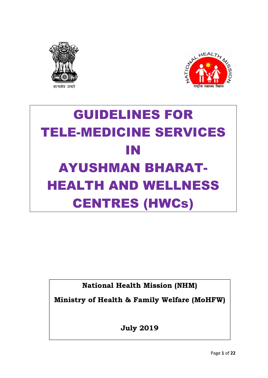



# GUIDELINES FOR TELE-MEDICINE SERVICES IN AYUSHMAN BHARAT-HEALTH AND WELLNESS CENTRES (HWCs)

National Health Mission (NHM)

Ministry of Health & Family Welfare (MoHFW)

July 2019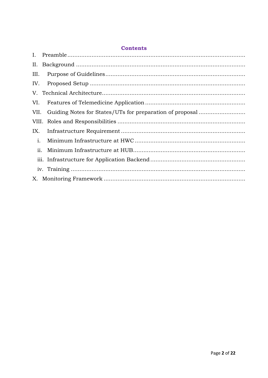## **Contents**

| III. |  |
|------|--|
| IV.  |  |
|      |  |
| VI.  |  |
|      |  |
|      |  |
| IX.  |  |
| i.   |  |
| ii.  |  |
|      |  |
|      |  |
|      |  |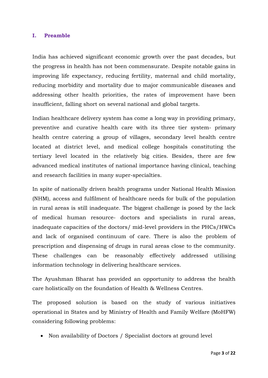#### I. Preamble

India has achieved significant economic growth over the past decades, but the progress in health has not been commensurate. Despite notable gains in improving life expectancy, reducing fertility, maternal and child mortality, reducing morbidity and mortality due to major communicable diseases and addressing other health priorities, the rates of improvement have been insufficient, falling short on several national and global targets.

Indian healthcare delivery system has come a long way in providing primary, preventive and curative health care with its three tier system- primary health centre catering a group of villages, secondary level health centre located at district level, and medical college hospitals constituting the tertiary level located in the relatively big cities. Besides, there are few advanced medical institutes of national importance having clinical, teaching and research facilities in many super-specialties.

In spite of nationally driven health programs under National Health Mission (NHM), access and fulfilment of healthcare needs for bulk of the population in rural areas is still inadequate. The biggest challenge is posed by the lack of medical human resource- doctors and specialists in rural areas, inadequate capacities of the doctors/ mid-level providers in the PHCs/HWCs and lack of organised continuum of care. There is also the problem of prescription and dispensing of drugs in rural areas close to the community. These challenges can be reasonably effectively addressed utilising information technology in delivering healthcare services.

The Ayushman Bharat has provided an opportunity to address the health care holistically on the foundation of Health & Wellness Centres.

The proposed solution is based on the study of various initiatives operational in States and by Ministry of Health and Family Welfare (MoHFW) considering following problems:

• Non availability of Doctors / Specialist doctors at ground level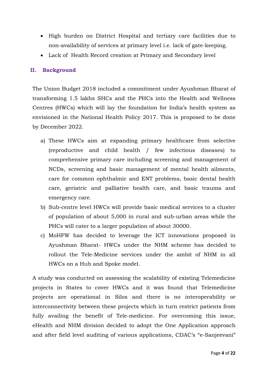- High burden on District Hospital and tertiary care facilities due to non-availability of services at primary level i.e. lack of gate-keeping.
- Lack of Health Record creation at Primary and Secondary level

#### II. Background

The Union Budget 2018 included a commitment under Ayushman Bharat of transforming 1.5 lakhs SHCs and the PHCs into the Health and Wellness Centres (HWCs) which will lay the foundation for India's health system as envisioned in the National Health Policy 2017. This is proposed to be done by December 2022.

- a) These HWCs aim at expanding primary healthcare from selective (reproductive and child health / few infectious diseases) to comprehensive primary care including screening and management of NCDs, screening and basic management of mental health ailments, care for common ophthalmic and ENT problems, basic dental health care, geriatric and palliative health care, and basic trauma and emergency care.
- b) Sub-centre level HWCs will provide basic medical services to a cluster of population of about 5,000 in rural and sub-urban areas while the PHCs will cater to a larger population of about 30000.
- c) MoHFW has decided to leverage the ICT innovations proposed in Ayushman Bharat- HWCs under the NHM scheme has decided to rollout the Tele-Medicine services under the ambit of NHM in all HWCs on a Hub and Spoke model.

A study was conducted on assessing the scalability of existing Telemedicine projects in States to cover HWCs and it was found that Telemedicine projects are operational in Silos and there is no interoperability or interconnectivity between these projects which in turn restrict patients from fully availing the benefit of Tele-medicine. For overcoming this issue, eHealth and NHM division decided to adopt the One Application approach and after field level auditing of various applications, CDAC's "e-Sanjeevani"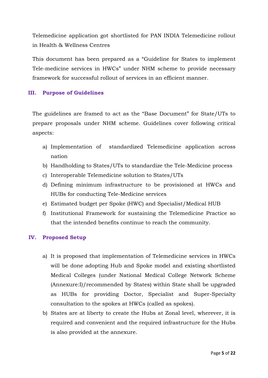Telemedicine application got shortlisted for PAN INDIA Telemedicine rollout in Health & Wellness Centres

This document has been prepared as a "Guideline for States to implement Tele-medicine services in HWCs" under NHM scheme to provide necessary framework for successful rollout of services in an efficient manner.

#### III. Purpose of Guidelines

The guidelines are framed to act as the "Base Document" for State/UTs to prepare proposals under NHM scheme. Guidelines cover following critical aspects:

- a) Implementation of standardized Telemedicine application across nation
- b) Handholding to States/UTs to standardize the Tele-Medicine process
- c) Interoperable Telemedicine solution to States/UTs
- d) Defining minimum infrastructure to be provisioned at HWCs and HUBs for conducting Tele-Medicine services
- e) Estimated budget per Spoke (HWC) and Specialist/Medical HUB
- f) Institutional Framework for sustaining the Telemedicine Practice so that the intended benefits continue to reach the community.

## IV. Proposed Setup

- a) It is proposed that implementation of Telemedicine services in HWCs will be done adopting Hub and Spoke model and existing shortlisted Medical Colleges (under National Medical College Network Scheme (Annexure:I)/recommended by States) within State shall be upgraded as HUBs for providing Doctor, Specialist and Super-Specialty consultation to the spokes at HWCs (called as spokes).
- b) States are at liberty to create the Hubs at Zonal level, wherever, it is required and convenient and the required infrastructure for the Hubs is also provided at the annexure.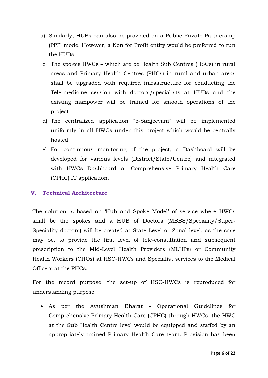- a) Similarly, HUBs can also be provided on a Public Private Partnership (PPP) mode. However, a Non for Profit entity would be preferred to run the HUBs.
- c) The spokes HWCs which are be Health Sub Centres (HSCs) in rural areas and Primary Health Centres (PHCs) in rural and urban areas shall be upgraded with required infrastructure for conducting the Tele-medicine session with doctors/specialists at HUBs and the existing manpower will be trained for smooth operations of the project
- d) The centralized application "e-Sanjeevani" will be implemented uniformly in all HWCs under this project which would be centrally hosted.
- e) For continuous monitoring of the project, a Dashboard will be developed for various levels (District/State/Centre) and integrated with HWCs Dashboard or Comprehensive Primary Health Care (CPHC) IT application.

#### V. Technical Architecture

The solution is based on 'Hub and Spoke Model' of service where HWCs shall be the spokes and a HUB of Doctors (MBBS/Speciality/Super-Speciality doctors) will be created at State Level or Zonal level, as the case may be, to provide the first level of tele-consultation and subsequent prescription to the Mid-Level Health Providers (MLHPs) or Community Health Workers (CHOs) at HSC-HWCs and Specialist services to the Medical Officers at the PHCs.

For the record purpose, the set-up of HSC-HWCs is reproduced for understanding purpose.

 As per the Ayushman Bharat - Operational Guidelines for Comprehensive Primary Health Care (CPHC) through HWCs, the HWC at the Sub Health Centre level would be equipped and staffed by an appropriately trained Primary Health Care team. Provision has been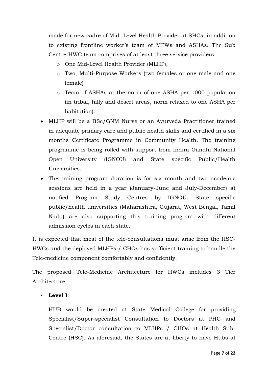made for new cadre of Mid- Level Health Provider at SHCs, in addition to existing frontline worker's team of MPWs and ASHAs. The Sub Centre-HWC team comprises of at least three service providers-

- o One Mid-Level Health Provider (MLHP),
- o Two, Multi-Purpose Workers (two females or one male and one female)
- o Team of ASHAs at the norm of one ASHA per 1000 population (in tribal, hilly and desert areas, norm relaxed to one ASHA per habitation).
- MLHP will be a BSc/GNM Nurse or an Ayurveda Practitioner trained in adequate primary care and public health skills and certified in a six months Certificate Programme in Community Health. The training programme is being rolled with support from Indira Gandhi National Open University (IGNOU) and State specific Public/Health Universities.
- The training program duration is for six month and two academic sessions are held in a year (January-June and July-December) at notified Program Study Centres by IGNOU. State specific public/health universities (Maharashtra, Gujarat, West Bengal, Tamil Nadu) are also supporting this training program with different admission cycles in each state.

It is expected that most of the tele-consultations must arise from the HSC-HWCs and the deployed MLHPs / CHOs has sufficient training to handle the Tele-medicine component comfortably and confidently.

The proposed Tele-Medicine Architecture for HWCs includes 3 Tier Architecture:

## • Level I:

HUB would be created at State Medical College for providing Specialist/Super-specialist Consultation to Doctors at PHC and Specialist/Doctor consultation to MLHPs / CHOs at Health Sub-Centre (HSC). As aforesaid, the States are at liberty to have Hubs at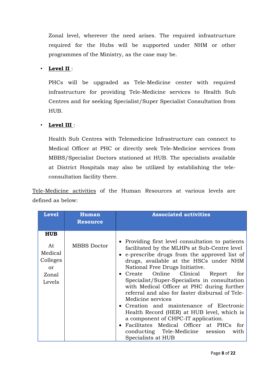Zonal level, wherever the need arises. The required infrastructure required for the Hubs will be supported under NHM or other programmes of the Ministry, as the case may be.

## • Level II :

PHCs will be upgraded as Tele-Medicine center with required infrastructure for providing Tele-Medicine services to Health Sub Centres and for seeking Specialist/Super Specialist Consultation from HUB.

## • Level III :

Health Sub Centres with Telemedicine Infrastructure can connect to Medical Officer at PHC or directly seek Tele-Medicine services from MBBS/Specialist Doctors stationed at HUB. The specialists available at District Hospitals may also be utilized by establishing the teleconsultation facility there.

Tele-Medicine activities of the Human Resources at various levels are defined as below:

| <b>Level</b>                                                             | <b>Human</b><br><b>Resource</b> | <b>Associated activities</b>                                                                                                                                                                                                                                                                                                                                                                                                                                                                                                                                                                                                                                                                      |
|--------------------------------------------------------------------------|---------------------------------|---------------------------------------------------------------------------------------------------------------------------------------------------------------------------------------------------------------------------------------------------------------------------------------------------------------------------------------------------------------------------------------------------------------------------------------------------------------------------------------------------------------------------------------------------------------------------------------------------------------------------------------------------------------------------------------------------|
| <b>HUB</b><br>At<br>Medical<br>Colleges<br>$\alpha$ r<br>Zonal<br>Levels | <b>MBBS</b> Doctor              | • Providing first level consultation to patients<br>facilitated by the MLHPs at Sub-Centre level<br>• e-prescribe drugs from the approved list of<br>drugs, available at the HSCs under NHM<br>National Free Drugs Initiative.<br>• Create Online Clinical<br>Report<br>for<br>Specialist/Super-Specialists in consultation<br>with Medical Officer at PHC during further<br>referral and also for faster disbursal of Tele-<br>Medicine services<br>• Creation and maintenance of Electronic<br>Health Record (HER) at HUB level, which is<br>a component of CHPC-IT application.<br>• Facilitates Medical Officer at PHCs for<br>conducting Tele-Medicine session<br>with<br>Specialists at HUB |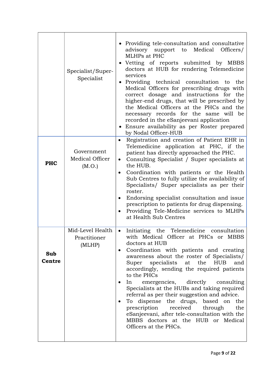|                      | Specialist/Super-<br>Specialist            | • Providing tele-consultation and consultative<br>advisory<br>support to<br>Medical<br>Officers/<br>MLHPs at PHC<br>· Vetting of reports submitted by MBBS<br>doctors at HUB for rendering Telemedicine<br>services<br>Providing technical consultation<br>to the<br>Medical Officers for prescribing drugs with<br>correct dosage and instructions for the<br>higher-end drugs, that will be prescribed by<br>the Medical Officers at the PHCs and the<br>necessary records for the same will be<br>recorded in the eSanjeevani application<br>• Ensure availability as per Roster prepared<br>by Nodal Officer-HUB                                                                      |
|----------------------|--------------------------------------------|-------------------------------------------------------------------------------------------------------------------------------------------------------------------------------------------------------------------------------------------------------------------------------------------------------------------------------------------------------------------------------------------------------------------------------------------------------------------------------------------------------------------------------------------------------------------------------------------------------------------------------------------------------------------------------------------|
| <b>PHC</b>           | Government<br>Medical Officer<br>(M.O.)    | Registration and creation of Patient EHR in<br>$\bullet$<br>Telemedicine application at PHC, if the<br>patient has directly approached the PHC.<br>Consulting Specialist / Super specialists at<br>$\bullet$<br>the HUB.<br>Coordination with patients or the Health<br>$\bullet$<br>Sub Centres to fully utilize the availability of<br>Specialists/ Super specialists as per their<br>roster.<br>Endorsing specialist consultation and issue<br>$\bullet$<br>prescription to patients for drug dispensing.<br>Providing Tele-Medicine services to MLHPs<br>$\bullet$<br>at Health Sub Centres                                                                                           |
| Sub<br><b>Centre</b> | Mid-Level Health<br>Practitioner<br>(MLHP) | Initiating the Telemedicine<br>consultation<br>with Medical Officer at PHCs or MBBS<br>doctors at HUB<br>Coordination with patients and creating<br>awareness about the roster of Specialists/<br>specialists<br>the<br>Super<br>at<br><b>HUB</b><br>and<br>accordingly, sending the required patients<br>to the PHCs<br>emergencies, directly<br>In<br>consulting<br>Specialists at the HUBs and taking required<br>referral as per their suggestion and advice.<br>dispense the drugs, based on<br>the<br>To<br>$\bullet$<br>prescription<br>received<br>the<br>through<br>eSanjeevani, after tele-consultation with the<br>MBBS doctors at the HUB or Medical<br>Officers at the PHCs. |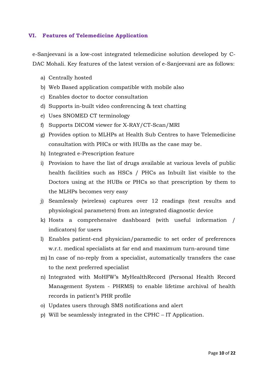#### VI. Features of Telemedicine Application

e-Sanjeevani is a low-cost integrated telemedicine solution developed by C-DAC Mohali. Key features of the latest version of e-Sanjeevani are as follows:

- a) Centrally hosted
- b) Web Based application compatible with mobile also
- c) Enables doctor to doctor consultation
- d) Supports in-built video conferencing & text chatting
- e) Uses SNOMED CT terminology
- f) Supports DICOM viewer for X-RAY/CT-Scan/MRI
- g) Provides option to MLHPs at Health Sub Centres to have Telemedicine consultation with PHCs or with HUBs as the case may be.
- h) Integrated e-Prescription feature
- i) Provision to have the list of drugs available at various levels of public health facilities such as HSCs / PHCs as Inbuilt list visible to the Doctors using at the HUBs or PHCs so that prescription by them to the MLHPs becomes very easy
- j) Seamlessly (wireless) captures over 12 readings (test results and physiological parameters) from an integrated diagnostic device
- k) Hosts a comprehensive dashboard (with useful information / indicators) for users
- l) Enables patient-end physician/paramedic to set order of preferences w.r.t. medical specialists at far end and maximum turn-around time
- m) In case of no-reply from a specialist, automatically transfers the case to the next preferred specialist
- n) Integrated with MoHFW's MyHealthRecord (Personal Health Record Management System - PHRMS) to enable lifetime archival of health records in patient's PHR profile
- o) Updates users through SMS notifications and alert
- p) Will be seamlessly integrated in the CPHC IT Application.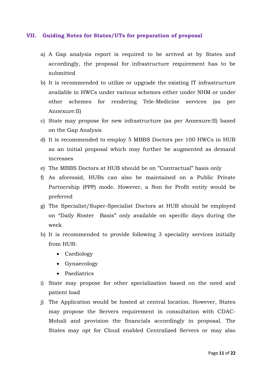#### VII. Guiding Notes for States/UTs for preparation of proposal

- a) A Gap analysis report is required to be arrived at by States and accordingly, the proposal for infrastructure requirement has to be submitted
- b) It is recommended to utilize or upgrade the existing IT infrastructure available in HWCs under various schemes either under NHM or under other schemes for rendering Tele-Medicine services (as per Annexure:II)
- c) State may propose for new infrastructure (as per Annexure:II) based on the Gap Analysis
- d) It is recommended to employ 5 MBBS Doctors per 100 HWCs in HUB as an initial proposal which may further be augmented as demand increases
- e) The MBBS Doctors at HUB should be on "Contractual" basis only
- f) As aforesaid, HUBs can also be maintained on a Public Private Partnership (PPP) mode. However, a Non for Profit entity would be preferred
- g) The Specialist/Super-Specialist Doctors at HUB should be employed on "Daily Roster Basis" only available on specific days during the week
- h) It is recommended to provide following 3 speciality services initially from HUB:
	- Cardiology
	- Gynaecology
	- Paediatrics
- i) State may propose for other specialization based on the need and patient load
- j) The Application would be hosted at central location. However, States may propose the Servers requirement in consultation with CDAC-Mohali and provision the financials accordingly in proposal. The States may opt for Cloud enabled Centralized Servers or may also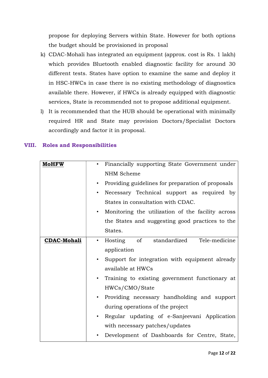propose for deploying Servers within State. However for both options the budget should be provisioned in proposal

- k) CDAC-Mohali has integrated an equipment (approx. cost is Rs. 1 lakh) which provides Bluetooth enabled diagnostic facility for around 30 different tests. States have option to examine the same and deploy it in HSC-HWCs in case there is no existing methodology of diagnostics available there. However, if HWCs is already equipped with diagnostic services, State is recommended not to propose additional equipment.
- l) It is recommended that the HUB should be operational with minimally required HR and State may provision Doctors/Specialist Doctors accordingly and factor it in proposal.

|  | <b>VIII.</b> Roles and Responsibilities |
|--|-----------------------------------------|
|  |                                         |

| Financially supporting State Government under                  |
|----------------------------------------------------------------|
| NHM Scheme                                                     |
| Providing guidelines for preparation of proposals<br>$\bullet$ |
| Necessary Technical support as required by<br>$\bullet$        |
| States in consultation with CDAC.                              |
| Monitoring the utilization of the facility across<br>$\bullet$ |
| the States and suggesting good practices to the                |
| States.                                                        |
| standardized<br>Tele-medicine<br>Hosting of<br>$\bullet$       |
| application                                                    |
| Support for integration with equipment already                 |
| available at HWCs                                              |
| Training to existing government functionary at                 |
| HWCs/CMO/State                                                 |
| Providing necessary handholding and support<br>$\bullet$       |
| during operations of the project                               |
| Regular updating of e-Sanjeevani Application                   |
| with necessary patches/updates                                 |
| Development of Dashboards for Centre, State,                   |
|                                                                |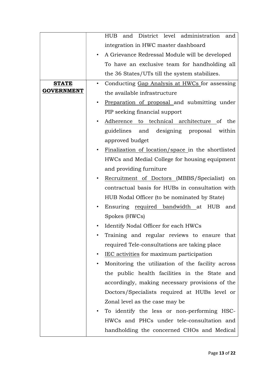|                   | and District level administration<br><b>HUB</b><br>and     |
|-------------------|------------------------------------------------------------|
|                   | integration in HWC master dashboard                        |
|                   | A Grievance Redressal Module will be developed             |
|                   | To have an exclusive team for handholding all              |
|                   | the 36 States/UTs till the system stabilizes.              |
| <b>STATE</b>      | Conducting Gap Analysis at HWCs for assessing<br>$\bullet$ |
| <b>GOVERNMENT</b> | the available infrastructure                               |
|                   | Preparation of proposal and submitting under               |
|                   | PIP seeking financial support                              |
|                   | Adherence to technical architecture of the                 |
|                   | guidelines and designing proposal<br>within                |
|                   | approved budget                                            |
|                   | Finalization of location/space in the shortlisted          |
|                   | HWCs and Medial College for housing equipment              |
|                   | and providing furniture                                    |
|                   | Recruitment of Doctors (MBBS/Specialist) on                |
|                   | contractual basis for HUBs in consultation with            |
|                   | HUB Nodal Officer (to be nominated by State)               |
|                   | Ensuring required bandwidth at HUB<br>and                  |
|                   | Spokes (HWCs)                                              |
|                   | Identify Nodal Officer for each HWCs                       |
|                   | Training and regular reviews to ensure that                |
|                   | required Tele-consultations are taking place               |
|                   | IEC activities for maximum participation                   |
|                   | Monitoring the utilization of the facility across          |
|                   | the public health facilities in the State and              |
|                   | accordingly, making necessary provisions of the            |
|                   | Doctors/Specialists required at HUBs level or              |
|                   | Zonal level as the case may be                             |
|                   | To identify the less or non-performing HSC-                |
|                   | HWCs and PHCs under tele-consultation and                  |
|                   | handholding the concerned CHOs and Medical                 |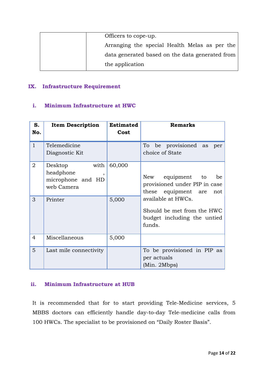| Officers to cope-up.                            |
|-------------------------------------------------|
| Arranging the special Health Melas as per the   |
| data generated based on the data generated from |
| the application                                 |

## IX. Infrastructure Requirement

#### i. Minimum Infrastructure at HWC

| S.<br>No.           | <b>Item Description</b>                                                               | <b>Estimated</b><br>Cost | <b>Remarks</b>                                                                                           |
|---------------------|---------------------------------------------------------------------------------------|--------------------------|----------------------------------------------------------------------------------------------------------|
| $\mathbf{1}$        | Telemedicine<br>Diagnostic Kit                                                        |                          | To be provisioned as<br>per<br>choice of State                                                           |
| $\overline{2}$<br>3 | with<br>Desktop<br>headphone<br>$\cdot$<br>microphone and HD<br>web Camera<br>Printer | 60,000<br>5,000          | New equipment to be<br>provisioned under PIP in case<br>these equipment are<br>not<br>available at HWCs. |
|                     |                                                                                       |                          | Should be met from the HWC<br>budget including the untied<br>funds.                                      |
| $\overline{4}$      | Miscellaneous                                                                         | 5,000                    |                                                                                                          |
| 5                   | Last mile connectivity                                                                |                          | To be provisioned in PIP as<br>per actuals<br>(Min. 2Mbps)                                               |

## ii. Minimum Infrastructure at HUB

It is recommended that for to start providing Tele-Medicine services, 5 MBBS doctors can efficiently handle day-to-day Tele-medicine calls from 100 HWCs. The specialist to be provisioned on "Daily Roster Basis".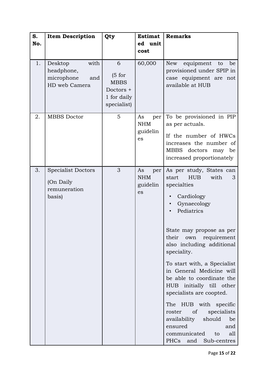| S.<br>No. | <b>Item Description</b>                                             | Qty                                                                   | <b>Estimat</b><br>ed unit<br>cost         | <b>Remarks</b>                                                                                                                                                                                                                                                                                                                                                                                                                                                                                                                               |
|-----------|---------------------------------------------------------------------|-----------------------------------------------------------------------|-------------------------------------------|----------------------------------------------------------------------------------------------------------------------------------------------------------------------------------------------------------------------------------------------------------------------------------------------------------------------------------------------------------------------------------------------------------------------------------------------------------------------------------------------------------------------------------------------|
| 1.        | with<br>Desktop<br>headphone,<br>microphone<br>and<br>HD web Camera | 6<br>(5 for<br><b>MBBS</b><br>Doctors +<br>1 for daily<br>specialist) | 60,000                                    | New<br>equipment<br>to<br>be<br>provisioned under SPIP in<br>case equipment are not<br>available at HUB                                                                                                                                                                                                                                                                                                                                                                                                                                      |
| 2.        | <b>MBBS</b> Doctor                                                  | 5                                                                     | As<br>per<br><b>NHM</b><br>guidelin<br>es | To be provisioned in PIP<br>as per actuals.<br>If the number of HWCs<br>increases the number of<br>MBBS doctors may be<br>increased proportionately                                                                                                                                                                                                                                                                                                                                                                                          |
| 3.        | <b>Specialist Doctors</b><br>(On Daily<br>remuneration<br>basis)    | 3                                                                     | As<br>per<br><b>NHM</b><br>guidelin<br>es | As per study, States can<br>with<br>start<br><b>HUB</b><br>3<br>specialties<br>Cardiology<br>Gynaecology<br>Pediatrics<br>State may propose as per<br>their<br>own<br>requirement<br>also including additional<br>speciality.<br>To start with, a Specialist<br>in General Medicine will<br>be able to coordinate the<br>HUB initially till other<br>specialists are coopted.<br>The HUB with specific<br>specialists<br>of<br>roster<br>availability<br>should<br>be<br>ensured<br>and<br>communicated<br>all<br>to<br>PHCs and Sub-centres |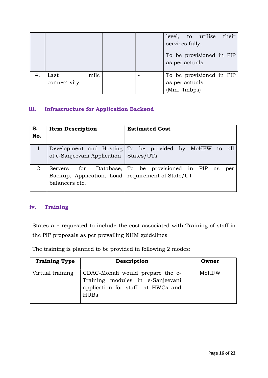|    |                              |  | services fully.<br>as per actuals. | level, to utilize their<br>To be provisioned in PIP |  |
|----|------------------------------|--|------------------------------------|-----------------------------------------------------|--|
| 4. | mile<br>Last<br>connectivity |  | as per actuals<br>(Min. 4mbps)     | To be provisioned in PIP                            |  |

## iii. Infrastructure for Application Backend

| S.<br>No. | <b>Item Description</b>                                                | <b>Estimated Cost</b>                                     |
|-----------|------------------------------------------------------------------------|-----------------------------------------------------------|
|           | of e-Sanjeevani Application   States/UTs                               | Development and Hosting To be provided by MoHFW to<br>all |
| 2         | Backup, Application, Load   requirement of State/UT.<br>balancers etc. | Servers for Database, To be provisioned in PIP as<br>per  |

## iv. Training

States are requested to include the cost associated with Training of staff in the PIP proposals as per prevailing NHM guidelines

The training is planned to be provided in following 2 modes:

| <b>Training Type</b> | Description                                                                                                              | Owner |
|----------------------|--------------------------------------------------------------------------------------------------------------------------|-------|
| Virtual training     | CDAC-Mohali would prepare the e-<br>Training modules in e-Sanjeevani<br>application for staff at HWCs and<br><b>HUBs</b> | MoHFW |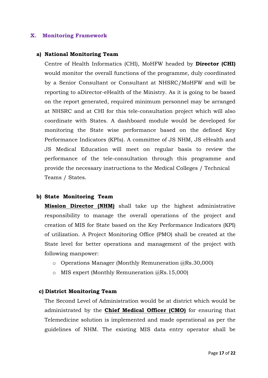#### X. Monitoring Framework

#### a) National Monitoring Team

Centre of Health Informatics (CHI), MoHFW headed by Director (CHI) would monitor the overall functions of the programme, duly coordinated by a Senior Consultant or Consultant at NHSRC/MoHFW and will be reporting to aDirector-eHealth of the Ministry. As it is going to be based on the report generated, required minimum personnel may be arranged at NHSRC and at CHI for this tele-consultation project which will also coordinate with States. A dashboard module would be developed for monitoring the State wise performance based on the defined Key Performance Indicators (KPIs). A committee of JS NHM, JS eHealth and JS Medical Education will meet on regular basis to review the performance of the tele-consultation through this programme and provide the necessary instructions to the Medical Colleges / Technical Teams / States.

#### b) State Monitoring Team

**Mission Director (NHM)** shall take up the highest administrative responsibility to manage the overall operations of the project and creation of MIS for State based on the Key Performance Indicators (KPI) of utilization. A Project Monitoring Office (PMO) shall be created at the State level for better operations and management of the project with following manpower:

- o Operations Manager (Monthly Remuneration @Rs.30,000)
- o MIS expert (Monthly Remuneration @Rs.15,000)

#### c) District Monitoring Team

The Second Level of Administration would be at district which would be administrated by the **Chief Medical Officer (CMO)** for ensuring that Telemedicine solution is implemented and made operational as per the guidelines of NHM. The existing MIS data entry operator shall be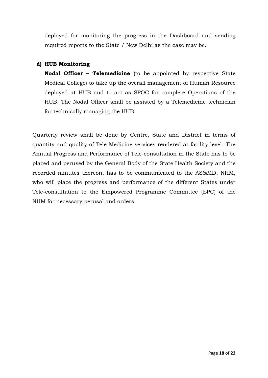deployed for monitoring the progress in the Dashboard and sending required reports to the State / New Delhi as the case may be.

## d) HUB Monitoring

Nodal Officer – Telemedicine (to be appointed by respective State Medical College) to take up the overall management of Human Resource deployed at HUB and to act as SPOC for complete Operations of the HUB. The Nodal Officer shall be assisted by a Telemedicine technician for technically managing the HUB.

Quarterly review shall be done by Centre, State and District in terms of quantity and quality of Tele-Medicine services rendered at facility level. The Annual Progress and Performance of Tele-consultation in the State has to be placed and perused by the General Body of the State Health Society and the recorded minutes thereon, has to be communicated to the AS&MD, NHM, who will place the progress and performance of the different States under Tele-consultation to the Empowered Programme Committee (EPC) of the NHM for necessary perusal and orders.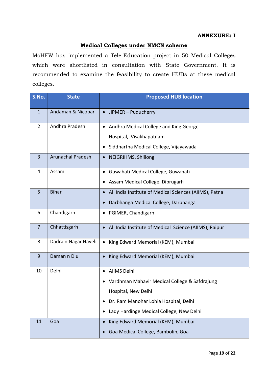#### ANNEXURE: I

#### Medical Colleges under NMCN scheme

MoHFW has implemented a Tele-Education project in 50 Medical Colleges which were shortlisted in consultation with State Government. It is recommended to examine the feasibility to create HUBs at these medical colleges.

| S.No.          | <b>State</b>             | <b>Proposed HUB location</b>                                                                                                                                                  |
|----------------|--------------------------|-------------------------------------------------------------------------------------------------------------------------------------------------------------------------------|
| $\mathbf{1}$   | Andaman & Nicobar        | JIPMER - Puducherry<br>$\bullet$                                                                                                                                              |
| $\overline{2}$ | Andhra Pradesh           | Andhra Medical College and King George<br>Hospital, Visakhapatnam<br>Siddhartha Medical College, Vijayawada<br>$\bullet$                                                      |
| 3              | <b>Arunachal Pradesh</b> | NEIGRIHMS, Shillong                                                                                                                                                           |
| 4              | Assam                    | Guwahati Medical College, Guwahati<br>Assam Medical College, Dibrugarh                                                                                                        |
| 5              | <b>Bihar</b>             | All India Institute of Medical Sciences (AIIMS), Patna<br>$\bullet$<br>Darbhanga Medical College, Darbhanga<br>$\bullet$                                                      |
| 6              | Chandigarh               | PGIMER, Chandigarh<br>$\bullet$                                                                                                                                               |
| $\overline{7}$ | Chhattisgarh             | All India Institute of Medical Science (AIIMS), Raipur<br>$\bullet$                                                                                                           |
| 8              | Dadra n Nagar Haveli     | King Edward Memorial (KEM), Mumbai<br>$\bullet$                                                                                                                               |
| 9              | Daman n Diu              | King Edward Memorial (KEM), Mumbai                                                                                                                                            |
| 10             | Delhi                    | AllMS Delhi<br>٠<br>Vardhman Mahavir Medical College & Safdrajung<br>Hospital, New Delhi<br>Dr. Ram Manohar Lohia Hospital, Delhi<br>Lady Hardinge Medical College, New Delhi |
| 11             | Goa                      | King Edward Memorial (KEM), Mumbai<br>Goa Medical College, Bambolin, Goa                                                                                                      |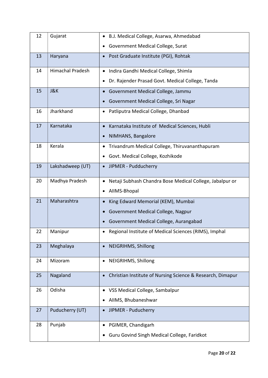| 12 | Gujarat          | B.J. Medical College, Asarwa, Ahmedabad<br>$\bullet$                  |
|----|------------------|-----------------------------------------------------------------------|
|    |                  | <b>Government Medical College, Surat</b><br>٠                         |
| 13 | Haryana          | Post Graduate Institute (PGI), Rohtak<br>$\bullet$                    |
| 14 | Himachal Pradesh | Indira Gandhi Medical College, Shimla<br>$\bullet$                    |
|    |                  | Dr. Rajender Prasad Govt. Medical College, Tanda<br>٠                 |
| 15 | <b>J&amp;K</b>   | Government Medical College, Jammu<br>$\bullet$                        |
|    |                  | Government Medical College, Sri Nagar                                 |
| 16 | Jharkhand        | Patliputra Medical College, Dhanbad<br>$\bullet$                      |
| 17 | Karnataka        | Karnataka Institute of Medical Sciences, Hubli                        |
|    |                  | NIMHANS, Bangalore<br>$\bullet$                                       |
| 18 | Kerala           | Trivandrum Medical College, Thiruvananthapuram<br>$\bullet$           |
|    |                  | Govt. Medical College, Kozhikode<br>٠                                 |
| 19 | Lakshadweep (UT) | JIPMER - Pudducherry<br>$\bullet$                                     |
| 20 | Madhya Pradesh   | Netaji Subhash Chandra Bose Medical College, Jabalpur or<br>$\bullet$ |
|    |                  | AIIMS-Bhopal                                                          |
| 21 | Maharashtra      | King Edward Memorial (KEM), Mumbai                                    |
|    |                  | Government Medical College, Nagpur<br>$\bullet$                       |
|    |                  | Government Medical College, Aurangabad<br>$\bullet$                   |
| 22 | Manipur          | Regional Institute of Medical Sciences (RIMS), Imphal                 |
| 23 | Meghalaya        | NEIGRIHMS, Shillong                                                   |
| 24 | Mizoram          | NEIGRIHMS, Shillong                                                   |
| 25 | Nagaland         | Christian Institute of Nursing Science & Research, Dimapur            |
| 26 | Odisha           | VSS Medical College, Sambalpur                                        |
|    |                  | AllMS, Bhubaneshwar                                                   |
| 27 | Puducherry (UT)  | JIPMER - Puducherry                                                   |
| 28 | Punjab           | PGIMER, Chandigarh                                                    |
|    |                  | Guru Govind Singh Medical College, Faridkot<br>$\bullet$              |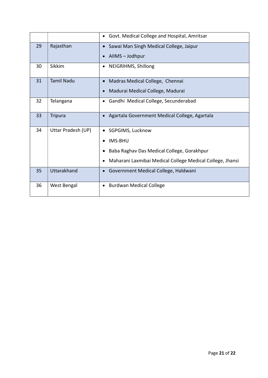|    |                    | Govt. Medical College and Hospital, Amritsar<br>٠              |
|----|--------------------|----------------------------------------------------------------|
| 29 | Rajasthan          | Sawai Man Singh Medical College, Jaipur<br>$\bullet$           |
|    |                    | AllMS - Jodhpur                                                |
| 30 | Sikkim             | NEIGRIHMS, Shillong<br>$\bullet$                               |
| 31 | <b>Tamil Nadu</b>  | Madras Medical College, Chennai                                |
|    |                    | Madurai Medical College, Madurai                               |
| 32 | Telangana          | Gandhi Medical College, Secunderabad<br>٠                      |
| 33 | <b>Tripura</b>     | Agartala Government Medical College, Agartala                  |
| 34 | Uttar Pradesh (UP) | SGPGIMS, Lucknow                                               |
|    |                    | <b>IMS-BHU</b>                                                 |
|    |                    | Baba Raghav Das Medical College, Gorakhpur                     |
|    |                    | Maharani Laxmibai Medical College Medical College, Jhansi<br>٠ |
| 35 | Uttarakhand        | Government Medical College, Haldwani                           |
| 36 | West Bengal        | <b>Burdwan Medical College</b><br>٠                            |